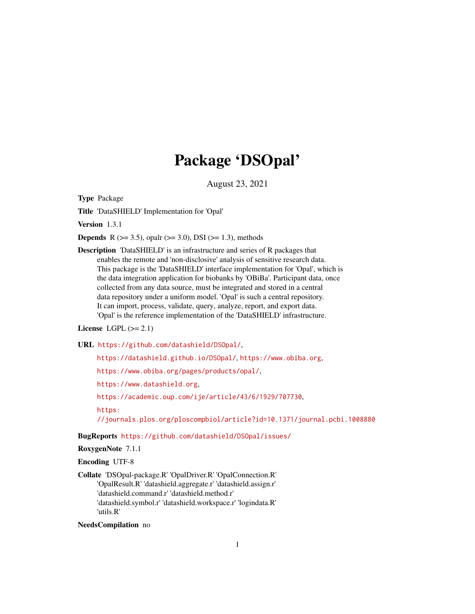# Package 'DSOpal'

August 23, 2021

<span id="page-0-0"></span>Type Package

Title 'DataSHIELD' Implementation for 'Opal'

Version 1.3.1

**Depends** R ( $>= 3.5$ ), opalr ( $>= 3.0$ ), DSI ( $>= 1.3$ ), methods

Description 'DataSHIELD' is an infrastructure and series of R packages that enables the remote and 'non-disclosive' analysis of sensitive research data. This package is the 'DataSHIELD' interface implementation for 'Opal', which is the data integration application for biobanks by 'OBiBa'. Participant data, once collected from any data source, must be integrated and stored in a central data repository under a uniform model. 'Opal' is such a central repository. It can import, process, validate, query, analyze, report, and export data. 'Opal' is the reference implementation of the 'DataSHIELD' infrastructure.

# License LGPL  $(>= 2.1)$

URL <https://github.com/datashield/DSOpal/>,

<https://datashield.github.io/DSOpal/>, <https://www.obiba.org>,

<https://www.obiba.org/pages/products/opal/>,

<https://www.datashield.org>,

<https://academic.oup.com/ije/article/43/6/1929/707730>,

[https:](https://journals.plos.org/ploscompbiol/article?id=10.1371/journal.pcbi.1008880)

[//journals.plos.org/ploscompbiol/article?id=10.1371/journal.pcbi.1008880](https://journals.plos.org/ploscompbiol/article?id=10.1371/journal.pcbi.1008880)

BugReports <https://github.com/datashield/DSOpal/issues/>

# RoxygenNote 7.1.1

Encoding UTF-8

Collate 'DSOpal-package.R' 'OpalDriver.R' 'OpalConnection.R' 'OpalResult.R' 'datashield.aggregate.r' 'datashield.assign.r' 'datashield.command.r' 'datashield.method.r' 'datashield.symbol.r' 'datashield.workspace.r' 'logindata.R' 'utils.R'

NeedsCompilation no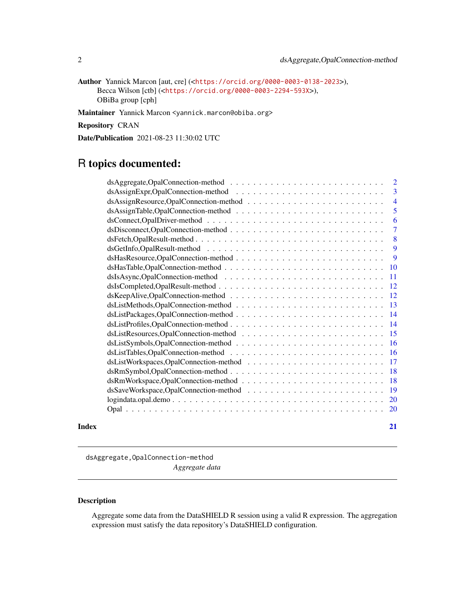<span id="page-1-0"></span>Author Yannick Marcon [aut, cre] (<<https://orcid.org/0000-0003-0138-2023>>), Becca Wilson [ctb] (<<https://orcid.org/0000-0003-2294-593X>>), OBiBa group [cph]

Maintainer Yannick Marcon <yannick.marcon@obiba.org>

Repository CRAN

Date/Publication 2021-08-23 11:30:02 UTC

# R topics documented:

|       |                                                                                                              | 3              |
|-------|--------------------------------------------------------------------------------------------------------------|----------------|
|       |                                                                                                              | $\overline{4}$ |
|       |                                                                                                              | 5              |
|       |                                                                                                              | 6              |
|       | $dsDiscountc, OpalConnection-method \ldots \ldots \ldots \ldots \ldots \ldots \ldots \ldots \ldots$          | $\overline{7}$ |
|       |                                                                                                              | 8              |
|       |                                                                                                              | $\overline{9}$ |
|       |                                                                                                              |                |
|       |                                                                                                              |                |
|       |                                                                                                              |                |
|       |                                                                                                              |                |
|       |                                                                                                              |                |
|       |                                                                                                              |                |
|       |                                                                                                              |                |
|       |                                                                                                              |                |
|       |                                                                                                              |                |
|       |                                                                                                              |                |
|       |                                                                                                              |                |
|       |                                                                                                              |                |
|       |                                                                                                              |                |
|       |                                                                                                              |                |
|       |                                                                                                              |                |
|       | $logindata.open.demo \ldots \ldots \ldots \ldots \ldots \ldots \ldots \ldots \ldots \ldots \ldots \ldots 20$ |                |
|       |                                                                                                              |                |
| Index |                                                                                                              | 21             |

dsAggregate,OpalConnection-method *Aggregate data*

# Description

Aggregate some data from the DataSHIELD R session using a valid R expression. The aggregation expression must satisfy the data repository's DataSHIELD configuration.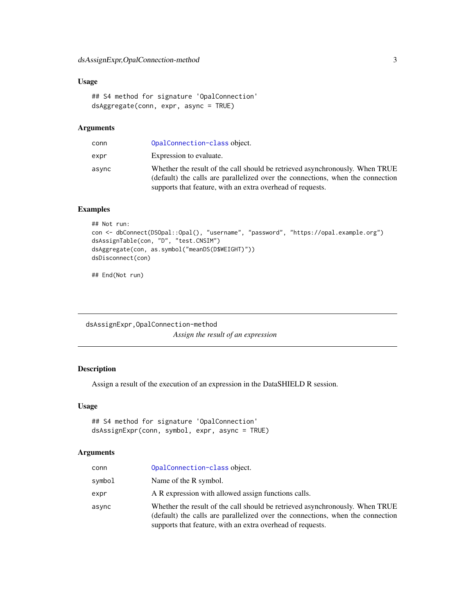# <span id="page-2-0"></span>Usage

```
## S4 method for signature 'OpalConnection'
dsAggregate(conn, expr, async = TRUE)
```
# Arguments

| conn  | OpalConnection-class object.                                                                                                                                                                                                 |
|-------|------------------------------------------------------------------------------------------------------------------------------------------------------------------------------------------------------------------------------|
| expr  | Expression to evaluate.                                                                                                                                                                                                      |
| async | Whether the result of the call should be retrieved asynchronously. When TRUE<br>(default) the calls are parallelized over the connections, when the connection<br>supports that feature, with an extra overhead of requests. |

# Examples

```
## Not run:
con <- dbConnect(DSOpal::Opal(), "username", "password", "https://opal.example.org")
dsAssignTable(con, "D", "test.CNSIM")
dsAggregate(con, as.symbol("meanDS(D$WEIGHT)"))
dsDisconnect(con)
```
## End(Not run)

dsAssignExpr,OpalConnection-method *Assign the result of an expression*

# Description

Assign a result of the execution of an expression in the DataSHIELD R session.

#### Usage

```
## S4 method for signature 'OpalConnection'
dsAssignExpr(conn, symbol, expr, async = TRUE)
```
#### Arguments

| conn   | OpalConnection-class object.                                                                                                                                                                                                 |
|--------|------------------------------------------------------------------------------------------------------------------------------------------------------------------------------------------------------------------------------|
| symbol | Name of the R symbol.                                                                                                                                                                                                        |
| expr   | A R expression with allowed assign functions calls.                                                                                                                                                                          |
| async  | Whether the result of the call should be retrieved asynchronously. When TRUE<br>(default) the calls are parallelized over the connections, when the connection<br>supports that feature, with an extra overhead of requests. |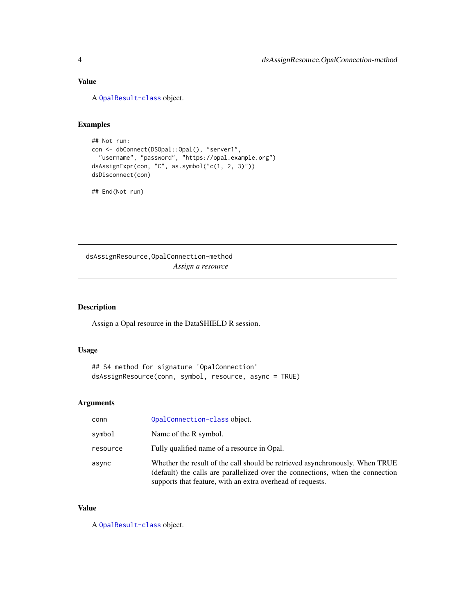# <span id="page-3-0"></span>Value

A [OpalResult-class](#page-0-0) object.

# Examples

```
## Not run:
con <- dbConnect(DSOpal::Opal(), "server1",
  "username", "password", "https://opal.example.org")
dsAssignExpr(con, "C", as.symbol("c(1, 2, 3)"))
dsDisconnect(con)
```
## End(Not run)

dsAssignResource,OpalConnection-method *Assign a resource*

# Description

Assign a Opal resource in the DataSHIELD R session.

#### Usage

```
## S4 method for signature 'OpalConnection'
dsAssignResource(conn, symbol, resource, async = TRUE)
```
#### Arguments

| conn     | OpalConnection-class object.                                                                                                                                                                                                 |
|----------|------------------------------------------------------------------------------------------------------------------------------------------------------------------------------------------------------------------------------|
| symbol   | Name of the R symbol.                                                                                                                                                                                                        |
| resource | Fully qualified name of a resource in Opal.                                                                                                                                                                                  |
| async    | Whether the result of the call should be retrieved asynchronously. When TRUE<br>(default) the calls are parallelized over the connections, when the connection<br>supports that feature, with an extra overhead of requests. |

# Value

A [OpalResult-class](#page-0-0) object.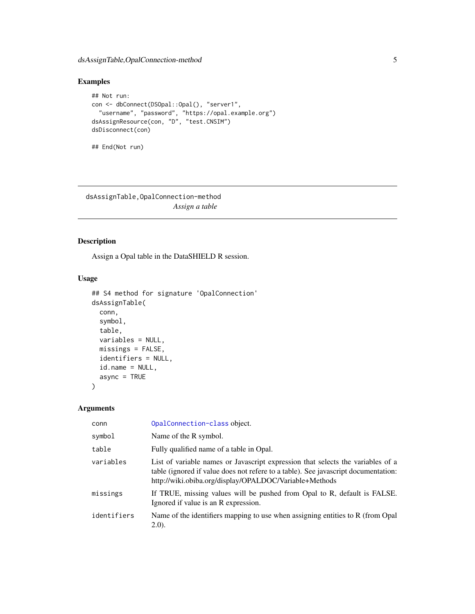# <span id="page-4-0"></span>dsAssignTable,OpalConnection-method 5

# Examples

```
## Not run:
con <- dbConnect(DSOpal::Opal(), "server1",
  "username", "password", "https://opal.example.org")
dsAssignResource(con, "D", "test.CNSIM")
dsDisconnect(con)
## End(Not run)
```
dsAssignTable,OpalConnection-method *Assign a table*

# Description

Assign a Opal table in the DataSHIELD R session.

# Usage

```
## S4 method for signature 'OpalConnection'
dsAssignTable(
  conn,
  symbol,
  table,
  variables = NULL,
 missings = FALSE,
  identifiers = NULL,
  id.name = NULL,async = TRUE\mathcal{L}
```
# Arguments

| conn        | OpalConnection-class object.                                                                                                                                                                                                    |
|-------------|---------------------------------------------------------------------------------------------------------------------------------------------------------------------------------------------------------------------------------|
| symbol      | Name of the R symbol.                                                                                                                                                                                                           |
| table       | Fully qualified name of a table in Opal.                                                                                                                                                                                        |
| variables   | List of variable names or Javascript expression that selects the variables of a<br>table (ignored if value does not refere to a table). See javascript documentation:<br>http://wiki.obiba.org/display/OPALDOC/Variable+Methods |
| missings    | If TRUE, missing values will be pushed from Opal to R, default is FALSE.<br>Ignored if value is an R expression.                                                                                                                |
| identifiers | Name of the identifiers mapping to use when assigning entities to R (from Opal<br>(2.0).                                                                                                                                        |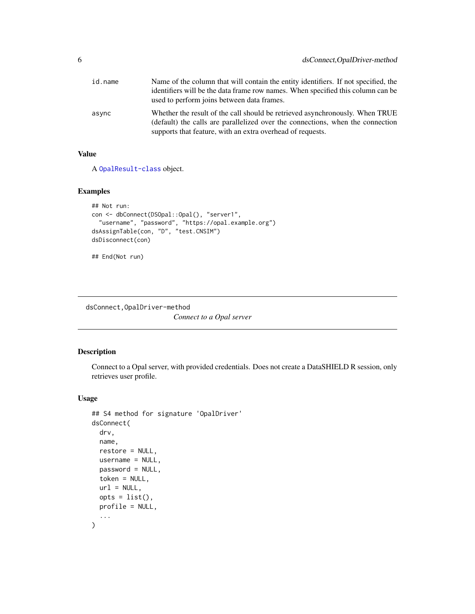<span id="page-5-0"></span>

| id.name | Name of the column that will contain the entity identifiers. If not specified, the                                                                                                                                           |
|---------|------------------------------------------------------------------------------------------------------------------------------------------------------------------------------------------------------------------------------|
|         | identifiers will be the data frame row names. When specified this column can be<br>used to perform joins between data frames.                                                                                                |
| async   | Whether the result of the call should be retrieved asynchronously. When TRUE<br>(default) the calls are parallelized over the connections, when the connection<br>supports that feature, with an extra overhead of requests. |

# Value

A [OpalResult-class](#page-0-0) object.

# Examples

```
## Not run:
con <- dbConnect(DSOpal::Opal(), "server1",
  "username", "password", "https://opal.example.org")
dsAssignTable(con, "D", "test.CNSIM")
dsDisconnect(con)
## End(Not run)
```
dsConnect,OpalDriver-method

*Connect to a Opal server*

# Description

Connect to a Opal server, with provided credentials. Does not create a DataSHIELD R session, only retrieves user profile.

```
## S4 method for signature 'OpalDriver'
dsConnect(
 drv,
 name,
  restore = NULL,
 username = NULL,
 password = NULL,
  token = NULL,
 url = NULL,opts = list(),
 profile = NULL,
  ...
\mathcal{L}
```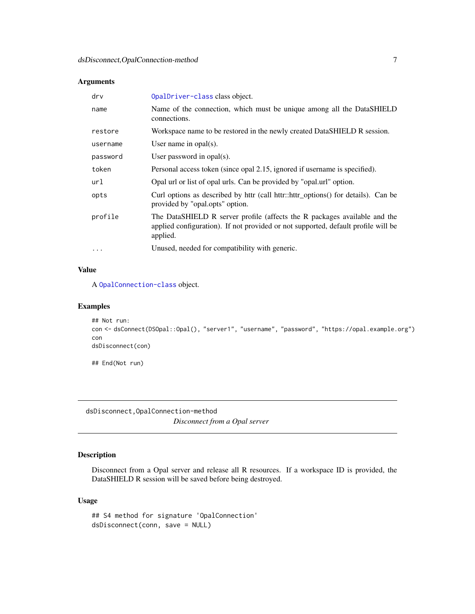<span id="page-6-0"></span>

| drv      | OpalDriver-class class object.                                                                                                                                             |
|----------|----------------------------------------------------------------------------------------------------------------------------------------------------------------------------|
| name     | Name of the connection, which must be unique among all the DataSHIELD<br>connections.                                                                                      |
| restore  | Workspace name to be restored in the newly created DataSHIELD R session.                                                                                                   |
| username | User name in $opal(s)$ .                                                                                                                                                   |
| password | User password in $opal(s)$ .                                                                                                                                               |
| token    | Personal access token (since opal 2.15, ignored if username is specified).                                                                                                 |
| url      | Opal url or list of opal urls. Can be provided by "opal url" option.                                                                                                       |
| opts     | Curl options as described by httr (call httr::httr_options() for details). Can be<br>provided by "opal.opts" option.                                                       |
| profile  | The DataSHIELD R server profile (affects the R packages available and the<br>applied configuration). If not provided or not supported, default profile will be<br>applied. |
| $\cdots$ | Unused, needed for compatibility with generic.                                                                                                                             |

# Value

A [OpalConnection-class](#page-0-0) object.

# Examples

```
## Not run:
con <- dsConnect(DSOpal::Opal(), "server1", "username", "password", "https://opal.example.org")
con
dsDisconnect(con)
## End(Not run)
```
dsDisconnect,OpalConnection-method

*Disconnect from a Opal server*

# Description

Disconnect from a Opal server and release all R resources. If a workspace ID is provided, the DataSHIELD R session will be saved before being destroyed.

```
## S4 method for signature 'OpalConnection'
dsDisconnect(conn, save = NULL)
```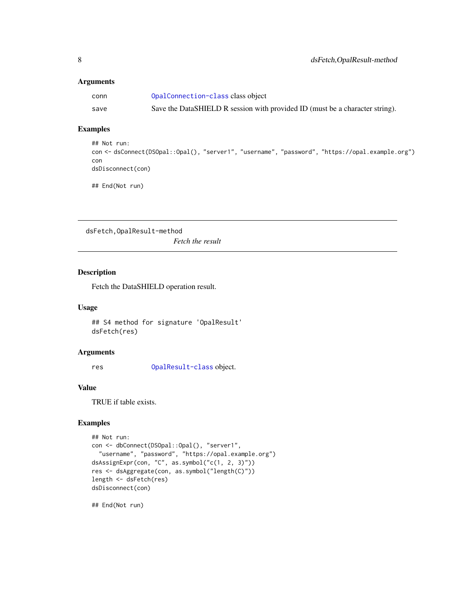<span id="page-7-0"></span>

| conn | OpalConnection-class class object                                            |
|------|------------------------------------------------------------------------------|
| save | Save the DataSHIELD R session with provided ID (must be a character string). |

# Examples

```
## Not run:
con <- dsConnect(DSOpal::Opal(), "server1", "username", "password", "https://opal.example.org")
con
dsDisconnect(con)
```
## End(Not run)

dsFetch,OpalResult-method *Fetch the result*

# Description

Fetch the DataSHIELD operation result.

# Usage

## S4 method for signature 'OpalResult' dsFetch(res)

#### Arguments

res [OpalResult-class](#page-0-0) object.

#### Value

TRUE if table exists.

# Examples

```
## Not run:
con <- dbConnect(DSOpal::Opal(), "server1",
  "username", "password", "https://opal.example.org")
dsAssignExpr(con, "C", as.symbol("c(1, 2, 3)"))
res <- dsAggregate(con, as.symbol("length(C)"))
length <- dsFetch(res)
dsDisconnect(con)
```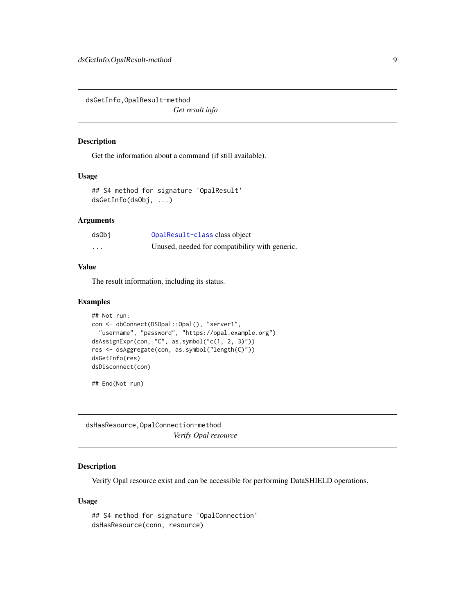<span id="page-8-0"></span>dsGetInfo,OpalResult-method

*Get result info*

# Description

Get the information about a command (if still available).

#### Usage

```
## S4 method for signature 'OpalResult'
dsGetInfo(dsObj, ...)
```
#### Arguments

| dsObj   | OpalResult-class class object                  |
|---------|------------------------------------------------|
| $\cdot$ | Unused, needed for compatibility with generic. |

#### Value

The result information, including its status.

#### Examples

```
## Not run:
con <- dbConnect(DSOpal::Opal(), "server1",
  "username", "password", "https://opal.example.org")
dsAssignExpr(con, "C", as.symbol("c(1, 2, 3)"))
res <- dsAggregate(con, as.symbol("length(C)"))
dsGetInfo(res)
dsDisconnect(con)
```
## End(Not run)

dsHasResource,OpalConnection-method *Verify Opal resource*

#### Description

Verify Opal resource exist and can be accessible for performing DataSHIELD operations.

```
## S4 method for signature 'OpalConnection'
dsHasResource(conn, resource)
```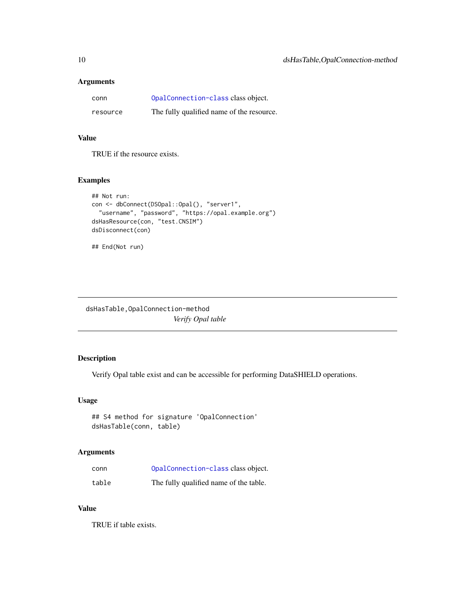<span id="page-9-0"></span>

| conn     | OpalConnection-class class object.        |
|----------|-------------------------------------------|
| resource | The fully qualified name of the resource. |

# Value

TRUE if the resource exists.

#### Examples

```
## Not run:
con <- dbConnect(DSOpal::Opal(), "server1",
 "username", "password", "https://opal.example.org")
dsHasResource(con, "test.CNSIM")
dsDisconnect(con)
```

```
## End(Not run)
```
dsHasTable,OpalConnection-method *Verify Opal table*

# Description

Verify Opal table exist and can be accessible for performing DataSHIELD operations.

# Usage

```
## S4 method for signature 'OpalConnection'
dsHasTable(conn, table)
```
#### Arguments

| conn  | OpalConnection-class class object.     |
|-------|----------------------------------------|
| table | The fully qualified name of the table. |

# Value

TRUE if table exists.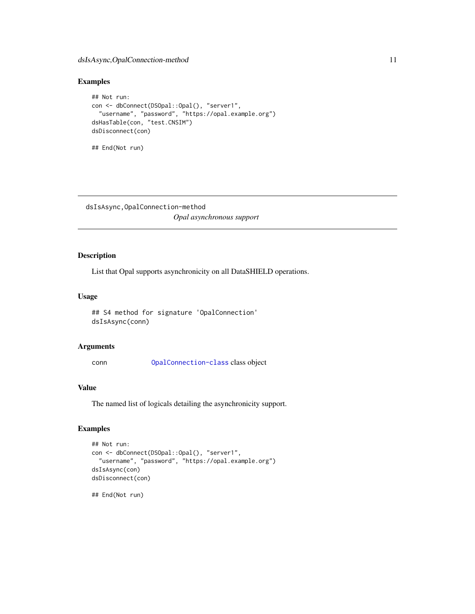# <span id="page-10-0"></span>dsIsAsync,OpalConnection-method 11

# Examples

```
## Not run:
con <- dbConnect(DSOpal::Opal(), "server1",
  "username", "password", "https://opal.example.org")
dsHasTable(con, "test.CNSIM")
dsDisconnect(con)
```

```
## End(Not run)
```
dsIsAsync,OpalConnection-method *Opal asynchronous support*

# Description

List that Opal supports asynchronicity on all DataSHIELD operations.

#### Usage

## S4 method for signature 'OpalConnection' dsIsAsync(conn)

# Arguments

conn [OpalConnection-class](#page-0-0) class object

#### Value

The named list of logicals detailing the asynchronicity support.

# Examples

```
## Not run:
con <- dbConnect(DSOpal::Opal(), "server1",
  "username", "password", "https://opal.example.org")
dsIsAsync(con)
dsDisconnect(con)
```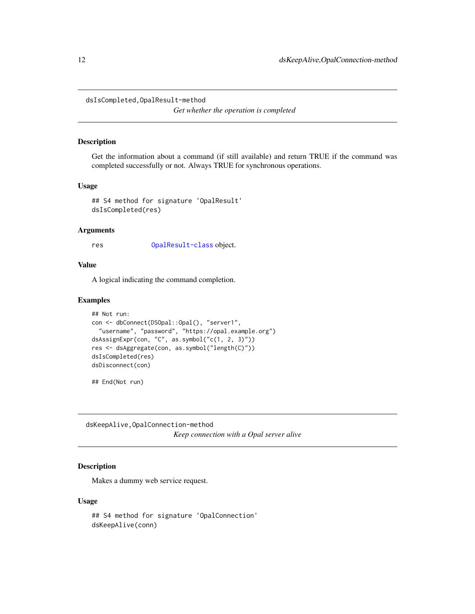<span id="page-11-0"></span>dsIsCompleted,OpalResult-method

*Get whether the operation is completed*

#### Description

Get the information about a command (if still available) and return TRUE if the command was completed successfully or not. Always TRUE for synchronous operations.

#### Usage

```
## S4 method for signature 'OpalResult'
dsIsCompleted(res)
```
#### Arguments

res [OpalResult-class](#page-0-0) object.

#### Value

A logical indicating the command completion.

#### Examples

```
## Not run:
con <- dbConnect(DSOpal::Opal(), "server1",
  "username", "password", "https://opal.example.org")
dsAssignExpr(con, "C", as.symbol("c(1, 2, 3)"))
res <- dsAggregate(con, as.symbol("length(C)"))
dsIsCompleted(res)
dsDisconnect(con)
```
## End(Not run)

dsKeepAlive,OpalConnection-method *Keep connection with a Opal server alive*

#### Description

Makes a dummy web service request.

```
## S4 method for signature 'OpalConnection'
dsKeepAlive(conn)
```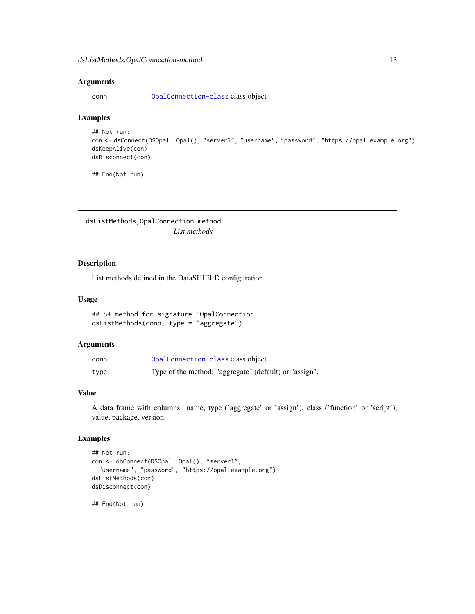<span id="page-12-0"></span>conn [OpalConnection-class](#page-0-0) class object

# Examples

```
## Not run:
con <- dsConnect(DSOpal::Opal(), "server1", "username", "password", "https://opal.example.org")
dsKeepAlive(con)
dsDisconnect(con)
```
## End(Not run)

dsListMethods,OpalConnection-method *List methods*

#### Description

List methods defined in the DataSHIELD configuration.

# Usage

```
## S4 method for signature 'OpalConnection'
dsListMethods(conn, type = "aggregate")
```
# Arguments

| conn | OpalConnection-class class object                      |
|------|--------------------------------------------------------|
| type | Type of the method: "aggregate" (default) or "assign". |

#### Value

A data frame with columns: name, type ('aggregate' or 'assign'), class ('function' or 'script'), value, package, version.

# Examples

```
## Not run:
con <- dbConnect(DSOpal::Opal(), "server1",
  "username", "password", "https://opal.example.org")
dsListMethods(con)
dsDisconnect(con)
```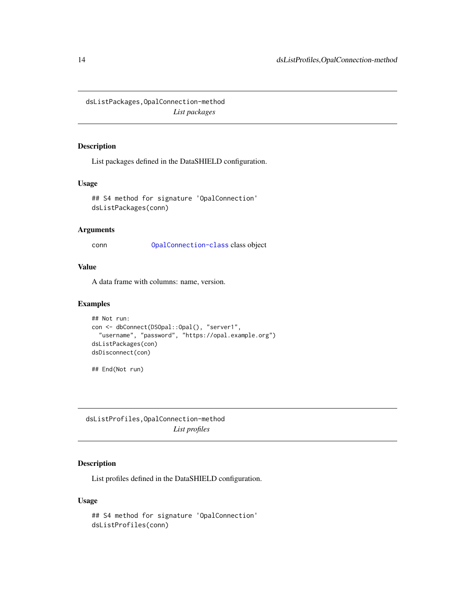<span id="page-13-0"></span>dsListPackages,OpalConnection-method *List packages*

### Description

List packages defined in the DataSHIELD configuration.

# Usage

```
## S4 method for signature 'OpalConnection'
dsListPackages(conn)
```
# Arguments

conn [OpalConnection-class](#page-0-0) class object

#### Value

A data frame with columns: name, version.

#### Examples

```
## Not run:
con <- dbConnect(DSOpal::Opal(), "server1",
  "username", "password", "https://opal.example.org")
dsListPackages(con)
dsDisconnect(con)
## End(Not run)
```
dsListProfiles,OpalConnection-method *List profiles*

# Description

List profiles defined in the DataSHIELD configuration.

```
## S4 method for signature 'OpalConnection'
dsListProfiles(conn)
```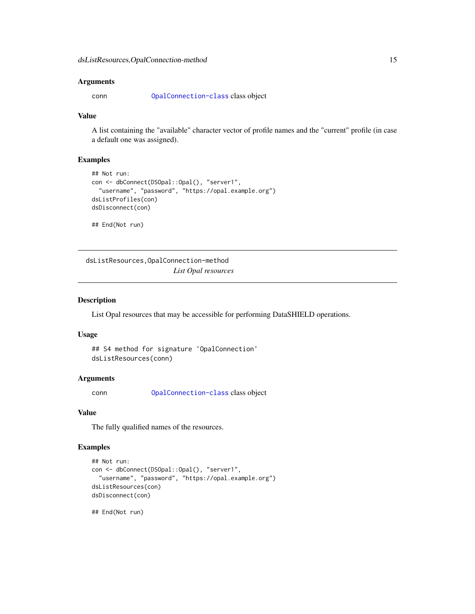<span id="page-14-0"></span>conn [OpalConnection-class](#page-0-0) class object

### Value

A list containing the "available" character vector of profile names and the "current" profile (in case a default one was assigned).

#### Examples

```
## Not run:
con <- dbConnect(DSOpal::Opal(), "server1",
  "username", "password", "https://opal.example.org")
dsListProfiles(con)
dsDisconnect(con)
## End(Not run)
```
dsListResources,OpalConnection-method *List Opal resources*

# Description

List Opal resources that may be accessible for performing DataSHIELD operations.

# Usage

```
## S4 method for signature 'OpalConnection'
dsListResources(conn)
```
### Arguments

conn [OpalConnection-class](#page-0-0) class object

#### Value

The fully qualified names of the resources.

# Examples

```
## Not run:
con <- dbConnect(DSOpal::Opal(), "server1",
  "username", "password", "https://opal.example.org")
dsListResources(con)
dsDisconnect(con)
```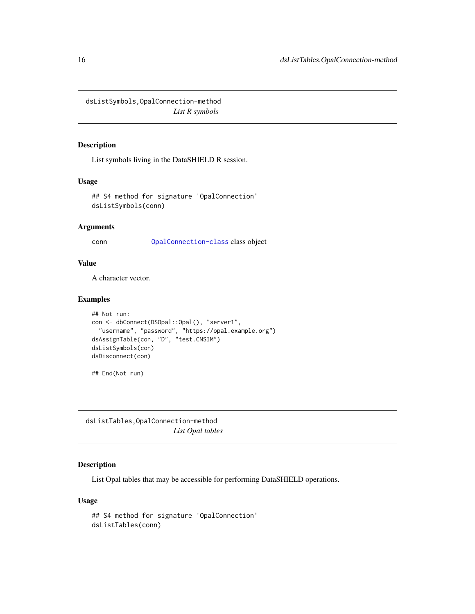<span id="page-15-0"></span>dsListSymbols,OpalConnection-method *List R symbols*

# Description

List symbols living in the DataSHIELD R session.

#### Usage

## S4 method for signature 'OpalConnection' dsListSymbols(conn)

#### Arguments

conn [OpalConnection-class](#page-0-0) class object

# Value

A character vector.

# Examples

```
## Not run:
con <- dbConnect(DSOpal::Opal(), "server1",
  "username", "password", "https://opal.example.org")
dsAssignTable(con, "D", "test.CNSIM")
dsListSymbols(con)
dsDisconnect(con)
```
## End(Not run)

dsListTables,OpalConnection-method *List Opal tables*

# Description

List Opal tables that may be accessible for performing DataSHIELD operations.

```
## S4 method for signature 'OpalConnection'
dsListTables(conn)
```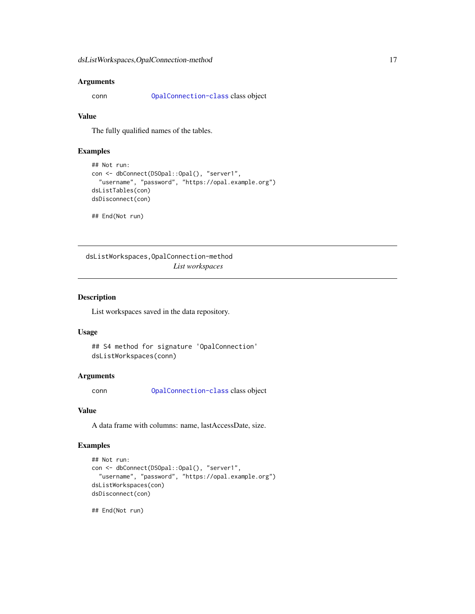<span id="page-16-0"></span>conn [OpalConnection-class](#page-0-0) class object

### Value

The fully qualified names of the tables.

#### Examples

```
## Not run:
con <- dbConnect(DSOpal::Opal(), "server1",
  "username", "password", "https://opal.example.org")
dsListTables(con)
dsDisconnect(con)
## End(Not run)
```
dsListWorkspaces,OpalConnection-method *List workspaces*

#### Description

List workspaces saved in the data repository.

#### Usage

```
## S4 method for signature 'OpalConnection'
dsListWorkspaces(conn)
```
#### Arguments

conn [OpalConnection-class](#page-0-0) class object

#### Value

A data frame with columns: name, lastAccessDate, size.

#### Examples

```
## Not run:
con <- dbConnect(DSOpal::Opal(), "server1",
  "username", "password", "https://opal.example.org")
dsListWorkspaces(con)
dsDisconnect(con)
```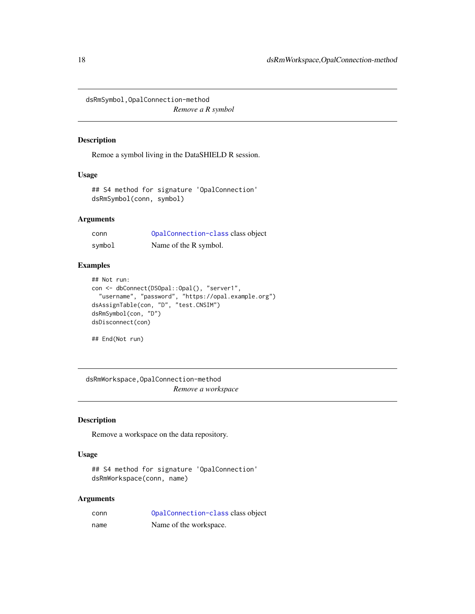<span id="page-17-0"></span>dsRmSymbol,OpalConnection-method

*Remove a R symbol*

# Description

Remoe a symbol living in the DataSHIELD R session.

# Usage

```
## S4 method for signature 'OpalConnection'
dsRmSymbol(conn, symbol)
```
# Arguments

| conn   | OpalConnection-class class object |
|--------|-----------------------------------|
| symbol | Name of the R symbol.             |

# Examples

```
## Not run:
con <- dbConnect(DSOpal::Opal(), "server1",
  "username", "password", "https://opal.example.org")
dsAssignTable(con, "D", "test.CNSIM")
dsRmSymbol(con, "D")
dsDisconnect(con)
```
## End(Not run)

dsRmWorkspace,OpalConnection-method *Remove a workspace*

#### Description

Remove a workspace on the data repository.

#### Usage

```
## S4 method for signature 'OpalConnection'
dsRmWorkspace(conn, name)
```
#### Arguments

| conn | OpalConnection-class class object |
|------|-----------------------------------|
| name | Name of the workspace.            |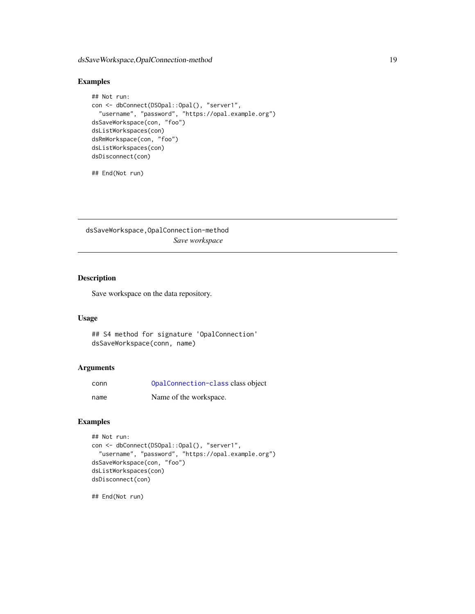# <span id="page-18-0"></span>dsSaveWorkspace,OpalConnection-method 19

# Examples

```
## Not run:
con <- dbConnect(DSOpal::Opal(), "server1",
  "username", "password", "https://opal.example.org")
dsSaveWorkspace(con, "foo")
dsListWorkspaces(con)
dsRmWorkspace(con, "foo")
dsListWorkspaces(con)
dsDisconnect(con)
```
## End(Not run)

dsSaveWorkspace,OpalConnection-method *Save workspace*

# Description

Save workspace on the data repository.

#### Usage

```
## S4 method for signature 'OpalConnection'
dsSaveWorkspace(conn, name)
```
#### Arguments

| conn | OpalConnection-class class object |
|------|-----------------------------------|
| name | Name of the workspace.            |

# Examples

```
## Not run:
con <- dbConnect(DSOpal::Opal(), "server1",
  "username", "password", "https://opal.example.org")
dsSaveWorkspace(con, "foo")
dsListWorkspaces(con)
dsDisconnect(con)
```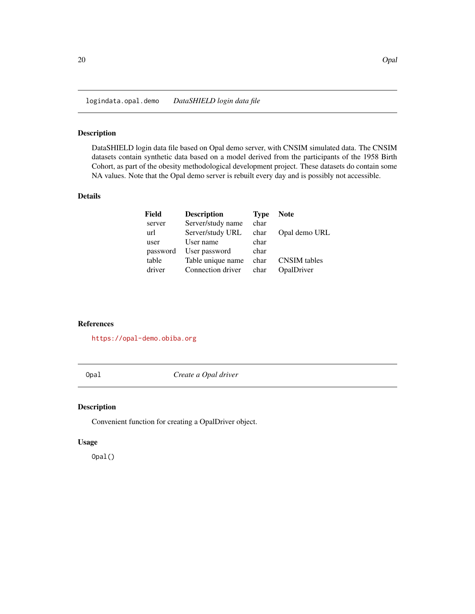<span id="page-19-0"></span>logindata.opal.demo *DataSHIELD login data file*

# Description

DataSHIELD login data file based on Opal demo server, with CNSIM simulated data. The CNSIM datasets contain synthetic data based on a model derived from the participants of the 1958 Birth Cohort, as part of the obesity methodological development project. These datasets do contain some NA values. Note that the Opal demo server is rebuilt every day and is possibly not accessible.

# Details

| Field    | <b>Description</b> | <b>Type</b> | <b>Note</b>         |
|----------|--------------------|-------------|---------------------|
| server   | Server/study name  | char        |                     |
| url      | Server/study URL   | char        | Opal demo URL       |
| user     | User name          | char        |                     |
| password | User password      | char        |                     |
| table    | Table unique name  | char        | <b>CNSIM</b> tables |
| driver   | Connection driver  | char        | OpalDriver          |

#### References

<https://opal-demo.obiba.org>

Opal *Create a Opal driver*

#### Description

Convenient function for creating a OpalDriver object.

#### Usage

Opal()